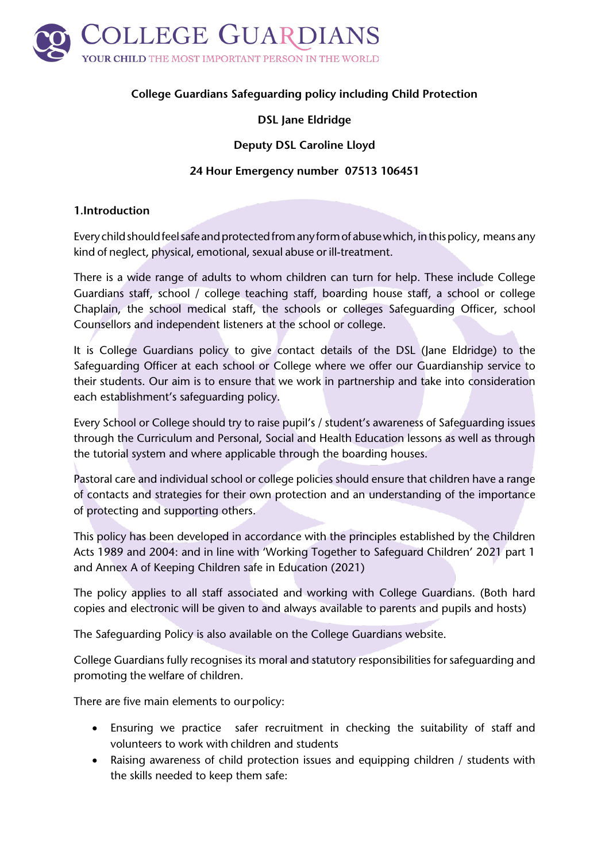

# **College Guardians Safeguarding policy including Child Protection**

# **DSL Jane Eldridge**

## **Deputy DSL Caroline Lloyd**

#### **24 Hour Emergency number 07513 106451**

#### **1.Introduction**

Every child should feel safe and protected from any form of abuse which, in this policy, means any kind of neglect, physical, emotional, sexual abuse or ill-treatment.

There is a wide range of adults to whom children can turn for help. These include College Guardians staff, school / college teaching staff, boarding house staff, a school or college Chaplain, the school medical staff, the schools or colleges Safeguarding Officer, school Counsellors and independent listeners at the school or college.

It is College Guardians policy to give contact details of the DSL (Jane Eldridge) to the Safeguarding Officer at each school or College where we offer our Guardianship service to their students. Our aim is to ensure that we work in partnership and take into consideration each establishment's safeguarding policy.

Every School or College should try to raise pupil's / student's awareness of Safeguarding issues through the Curriculum and Personal, Social and Health Education lessons as well as through the tutorial system and where applicable through the boarding houses.

Pastoral care and individual school or college policies should ensure that children have a range of contacts and strategies for their own protection and an understanding of the importance of protecting and supporting others.

This policy has been developed in accordance with the principles established by the Children Acts 1989 and 2004: and in line with 'Working Together to Safeguard Children' 2021 part 1 and Annex A of Keeping Children safe in Education (2021)

The policy applies to all staff associated and working with College Guardians. (Both hard copies and electronic will be given to and always available to parents and pupils and hosts)

The Safeguarding Policy is also available on the College Guardians website.

College Guardians fully recognises its moral and statutory responsibilities for safeguarding and promoting the welfare of children.

There are five main elements to ourpolicy:

- Ensuring we practice safer recruitment in checking the suitability of staff and volunteers to work with children and students
- Raising awareness of child protection issues and equipping children / students with the skills needed to keep them safe: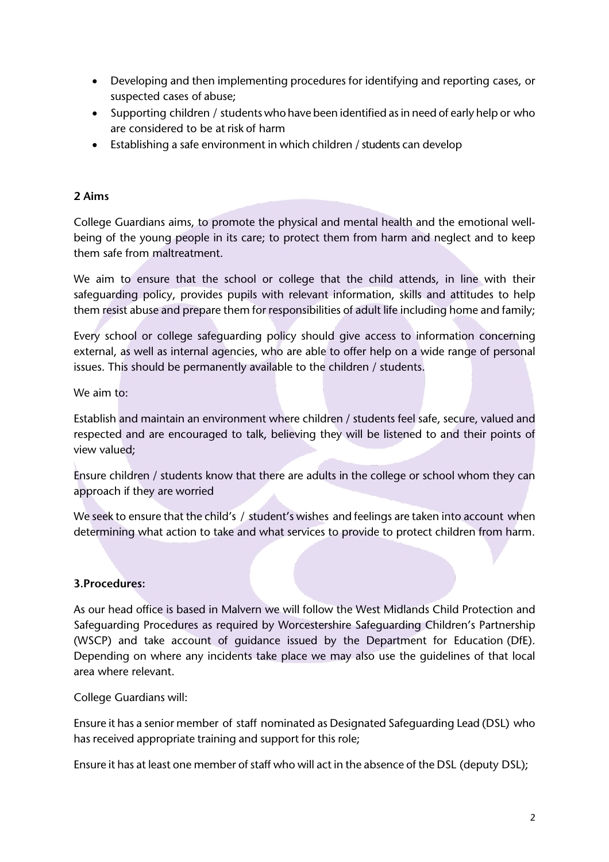- Developing and then implementing procedures for identifying and reporting cases, or suspected cases of abuse;
- Supporting children / students who have been identified as in need of early help or who are considered to be at risk of harm
- Establishing a safe environment in which children / students can develop

#### **2 Aims**

College Guardians aims, to promote the physical and mental health and the emotional wellbeing of the young people in its care; to protect them from harm and neglect and to keep them safe from maltreatment.

We aim to ensure that the school or college that the child attends, in line with their safeguarding policy, provides pupils with relevant information, skills and attitudes to help them resist abuse and prepare them for responsibilities of adult life including home and family;

Every school or college safeguarding policy should give access to information concerning external, as well as internal agencies, who are able to offer help on a wide range of personal issues. This should be permanently available to the children / students.

We aim to:

Establish and maintain an environment where children / students feel safe, secure, valued and respected and are encouraged to talk, believing they will be listened to and their points of view valued;

Ensure children / students know that there are adults in the college or school whom they can approach if they are worried

We seek to ensure that the child's / student's wishes and feelings are taken into account when determining what action to take and what services to provide to protect children from harm.

## **3.Procedures:**

As our head office is based in Malvern we will follow the West Midlands Child Protection and Safeguarding Procedures as required by Worcestershire Safeguarding Children's Partnership (WSCP) and take account of guidance issued by the Department for Education (DfE). Depending on where any incidents take place we may also use the guidelines of that local area where relevant.

College Guardians will:

Ensure it has a senior member of staff nominated as Designated Safeguarding Lead (DSL) who has received appropriate training and support for this role;

Ensure it has at least one member of staff who will act in the absence of the DSL (deputy DSL);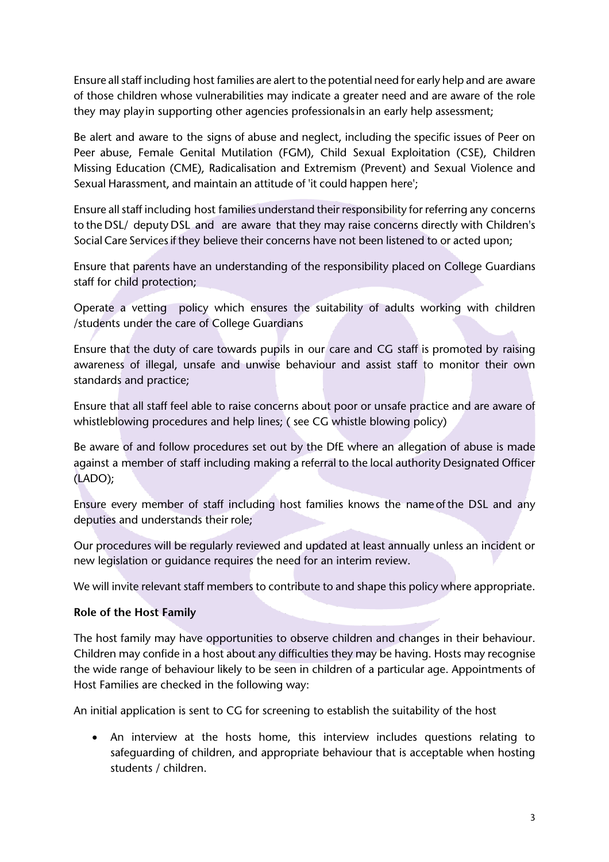Ensure allstaff including host families are alert to the potential need for early help and are aware of those children whose vulnerabilities may indicate a greater need and are aware of the role they may playin supporting other agencies professionalsin an early help assessment;

Be alert and aware to the signs of abuse and neglect, including the specific issues of Peer on Peer abuse, Female Genital Mutilation (FGM), Child Sexual Exploitation (CSE), Children Missing Education (CME), Radicalisation and Extremism (Prevent) and Sexual Violence and Sexual Harassment, and maintain an attitude of 'it could happen here';

Ensure all staff including host families understand their responsibility for referring any concerns to the DSL/ deputy DSL and are aware that they may raise concerns directly with Children's Social Care Services if they believe their concerns have not been listened to or acted upon;

Ensure that parents have an understanding of the responsibility placed on College Guardians staff for child protection;

Operate a vetting policy which ensures the suitability of adults working with children /students under the care of College Guardians

Ensure that the duty of care towards pupils in our care and CG staff is promoted by raising awareness of illegal, unsafe and unwise behaviour and assist staff to monitor their own standards and practice;

Ensure that all staff feel able to raise concerns about poor or unsafe practice and are aware of whistleblowing procedures and help lines; (see CG whistle blowing policy)

Be aware of and follow procedures set out by the DfE where an allegation of abuse is made against a member of staff including making a referral to the local authority Designated Officer (LADO);

Ensure every member of staff including host families knows the name ofthe DSL and any deputies and understands their role;

Our procedures will be regularly reviewed and updated at least annually unless an incident or new legislation or guidance requires the need for an interim review.

We will invite relevant staff members to contribute to and shape this policy where appropriate.

## **Role of the Host Family**

The host family may have opportunities to observe children and changes in their behaviour. Children may confide in a host about any difficulties they may be having. Hosts may recognise the wide range of behaviour likely to be seen in children of a particular age. Appointments of Host Families are checked in the following way:

An initial application is sent to CG for screening to establish the suitability of the host

• An interview at the hosts home, this interview includes questions relating to safeguarding of children, and appropriate behaviour that is acceptable when hosting students / children.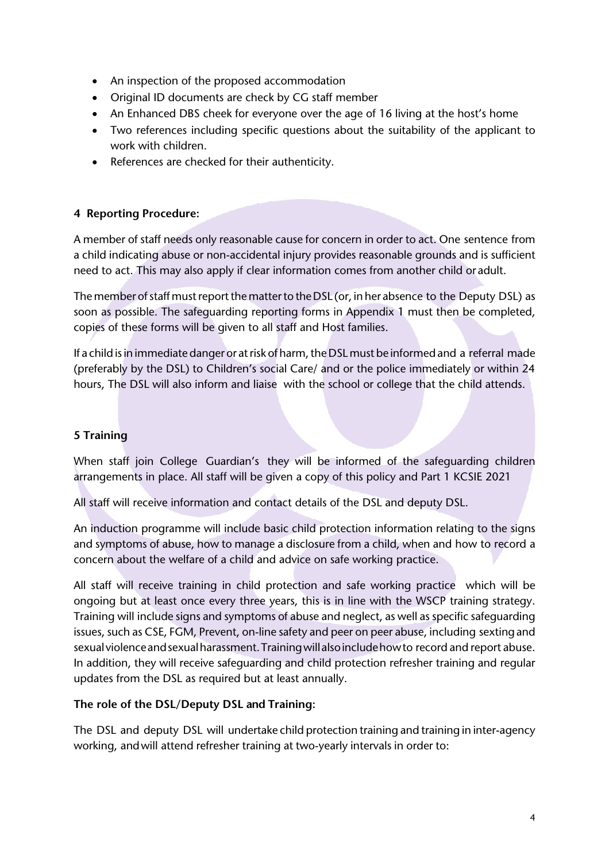- An inspection of the proposed accommodation
- Original ID documents are check by CG staff member
- An Enhanced DBS cheek for everyone over the age of 16 living at the host's home
- Two references including specific questions about the suitability of the applicant to work with children.
- References are checked for their authenticity.

# **4 Reporting Procedure:**

A member of staff needs only reasonable cause for concern in order to act. One sentence from a child indicating abuse or non-accidental injury provides reasonable grounds and is sufficient need to act. This may also apply if clear information comes from another child or adult.

The member of staff must report the matter to the DSL (or, in her absence to the Deputy DSL) as soon as possible. The safeguarding reporting forms in Appendix 1 must then be completed, copies of these forms will be given to all staff and Host families.

If a child is in immediate danger or at risk of harm, the DSL must be informed and a referral made (preferably by the DSL) to Children's social Care/ and or the police immediately or within 24 hours, The DSL will also inform and liaise with the school or college that the child attends.

# **5 Training**

When staff join College Guardian's they will be informed of the safeguarding children arrangements in place. All staff will be given a copy of this policy and Part 1 KCSIE 2021

All staff will receive information and contact details of the DSL and deputy DSL.

An induction programme will include basic child protection information relating to the signs and symptoms of abuse, how to manage a disclosure from a child, when and how to record a concern about the welfare of a child and advice on safe working practice.

All staff will receive training in child protection and safe working practice which will be ongoing but at least once every three years, this is in line with the WSCP training strategy. Training will include signs and symptoms of abuse and neglect, as well as specific safeguarding issues, such as CSE, FGM, Prevent, on-line safety and peer on peer abuse, including sextingand sexual violence and sexual harassment. Training will also include how to record and report abuse. In addition, they will receive safeguarding and child protection refresher training and regular updates from the DSL as required but at least annually.

## **The role of the DSL/Deputy DSL and Training:**

The DSL and deputy DSL will undertake child protection training and training in inter-agency working, andwill attend refresher training at two-yearly intervals in order to: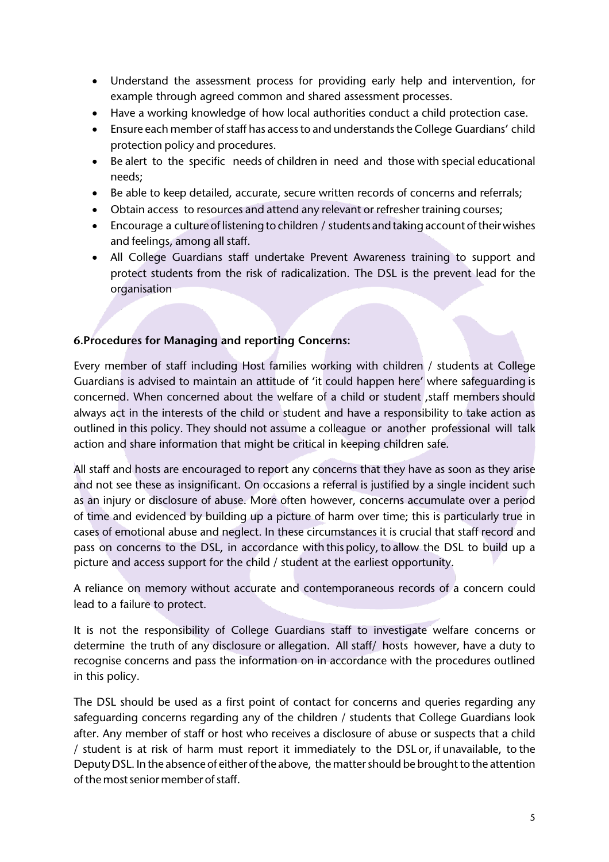- Understand the assessment process for providing early help and intervention, for example through agreed common and shared assessment processes.
- Have a working knowledge of how local authorities conduct a child protection case.
- Ensure each member of staff has access to and understands the College Guardians' child protection policy and procedures.
- Be alert to the specific needs of children in need and those with special educational needs;
- Be able to keep detailed, accurate, secure written records of concerns and referrals;
- Obtain access to resources and attend any relevant or refresher training courses;
- Encourage a culture of listening to children / students and taking account of their wishes and feelings, among all staff.
- All College Guardians staff undertake Prevent Awareness training to support and protect students from the risk of radicalization. The DSL is the prevent lead for the organisation

#### **6.Procedures for Managing and reporting Concerns:**

Every member of staff including Host families working with children / students at College Guardians is advised to maintain an attitude of 'it could happen here' where safeguarding is concerned. When concerned about the welfare of a child or student , staff members should always act in the interests of the child or student and have a responsibility to take action as outlined in this policy. They should not assume a colleague or another professional will talk action and share information that might be critical in keeping children safe.

All staff and hosts are encouraged to report any concerns that they have as soon as they arise and not see these as insignificant. On occasions a referral is justified by a single incident such as an injury or disclosure of abuse. More often however, concerns accumulate over a period of time and evidenced by building up a picture of harm over time; this is particularly true in cases of emotional abuse and neglect. In these circumstances it is crucial that staff record and pass on concerns to the DSL, in accordance with this policy, to allow the DSL to build up a picture and access support for the child / student at the earliest opportunity.

A reliance on memory without accurate and contemporaneous records of a concern could lead to a failure to protect.

It is not the responsibility of College Guardians staff to investigate welfare concerns or determine the truth of any disclosure or allegation. All staff/ hosts however, have a duty to recognise concerns and pass the information on in accordance with the procedures outlined in this policy.

The DSL should be used as a first point of contact for concerns and queries regarding any safeguarding concerns regarding any of the children / students that College Guardians look after. Any member of staff or host who receives a disclosure of abuse or suspects that a child / student is at risk of harm must report it immediately to the DSL or, if unavailable, to the Deputy DSL. In the absence of either of the above, the matter should be brought to the attention of the most senior member of staff.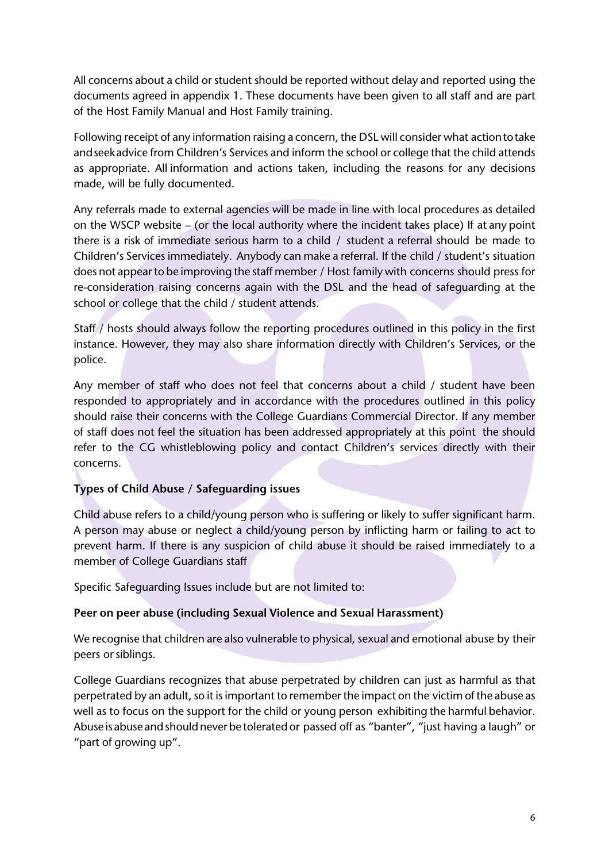All concerns about a child or student should be reported without delay and reported using the documents agreed in appendix 1. These documents have been given to all staff and are part of the Host Family Manual and Host Family training.

Following receipt of any information raising a concern, the DSL will consider what actiontotake andseekadvice from Children's Services and inform the school or college that the child attends as appropriate. All information and actions taken, including the reasons for any decisions made, will be fully documented.

Any referrals made to external agencies will be made in line with local procedures as detailed on the WSCP website – (or the local authority where the incident takes place) If at any point there is a risk of immediate serious harm to a child / student a referral should be made to Children's Services immediately. Anybody can make a referral. If the child / student's situation does not appear to be improving the staff member / Host family with concerns should press for re-consideration raising concerns again with the DSL and the head of safeguarding at the school or college that the child / student attends.

Staff / hosts should always follow the reporting procedures outlined in this policy in the first instance. However, they may also share information directly with Children's Services, or the police.

Any member of staff who does not feel that concerns about a child / student have been responded to appropriately and in accordance with the procedures outlined in this policy should raise their concerns with the College Guardians Commercial Director. If any member of staff does not feel the situation has been addressed appropriately at this point the should refer to the CG whistleblowing policy and contact Children's services directly with their concerns.

# **Types of Child Abuse / Safeguarding issues**

Child abuse refers to a child/young person who is suffering or likely to suffer significant harm. A person may abuse or neglect a child/young person by inflicting harm or failing to act to prevent harm. If there is any suspicion of child abuse it should be raised immediately to a member of College Guardians staff

Specific Safeguarding Issues include but are not limited to:

## **Peer on peer abuse (including Sexual Violence and Sexual Harassment)**

We recognise that children are also vulnerable to physical, sexual and emotional abuse by their peers or siblings.

College Guardians recognizes that abuse perpetrated by children can just as harmful as that perpetrated by an adult, so it is important to remember the impact on the victim of the abuse as well as to focus on the support for the child or young person exhibiting the harmful behavior. Abuse is abuse and should never be tolerated or passed off as "banter", "just having a laugh" or "part of growing up".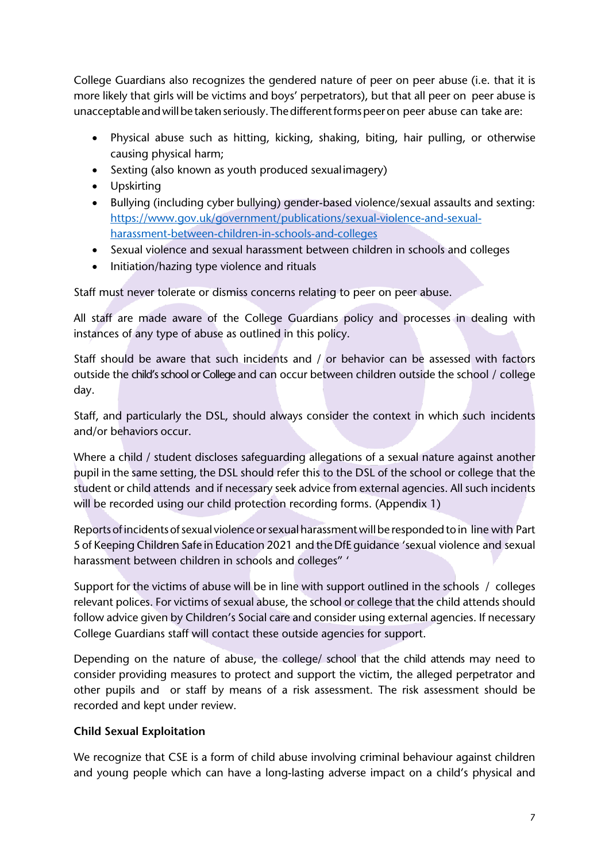College Guardians also recognizes the gendered nature of peer on peer abuse (i.e. that it is more likely that girls will be victims and boys' perpetrators), but that all peer on peer abuse is unacceptable and will be taken seriously. The different forms peer on peer abuse can take are:

- Physical abuse such as hitting, kicking, shaking, biting, hair pulling, or otherwise causing physical harm;
- Sexting (also known as youth produced sexualimagery)
- Upskirting
- Bullying (including cyber bullying) gender-based violence/sexual assaults and sexting: https://www.gov.uk/government/publications/sexual-violence-and-sexualharassment-between-children-in-schools-and-colleges
- Sexual violence and sexual harassment between children in schools and colleges
- Initiation/hazing type violence and rituals

Staff must never tolerate or dismiss concerns relating to peer on peer abuse.

All staff are made aware of the College Guardians policy and processes in dealing with instances of any type of abuse as outlined in this policy.

Staff should be aware that such incidents and / or behavior can be assessed with factors outside the child's school or College and can occur between children outside the school / college day.

Staff, and particularly the DSL, should always consider the context in which such incidents and/or behaviors occur.

Where a child / student discloses safeguarding allegations of a sexual nature against another pupil in the same setting, the DSL should refer this to the DSL of the school or college that the student or child attends and if necessary seek advice from external agencies. All such incidents will be recorded using our child protection recording forms. (Appendix 1)

Reports of incidents of sexual violence or sexual harassment will be responded to in line with Part 5 of Keeping Children Safe in Education 2021 and the DfE guidance 'sexual violence and sexual harassment between children in schools and colleges" '

Support for the victims of abuse will be in line with support outlined in the schools / colleges relevant polices. For victims of sexual abuse, the school or college that the child attends should follow advice given by Children's Social care and consider using external agencies. If necessary College Guardians staff will contact these outside agencies for support.

Depending on the nature of abuse, the college/ school that the child attends may need to consider providing measures to protect and support the victim, the alleged perpetrator and other pupils and or staff by means of a risk assessment. The risk assessment should be recorded and kept under review.

# **Child Sexual Exploitation**

We recognize that CSE is a form of child abuse involving criminal behaviour against children and young people which can have a long-lasting adverse impact on a child's physical and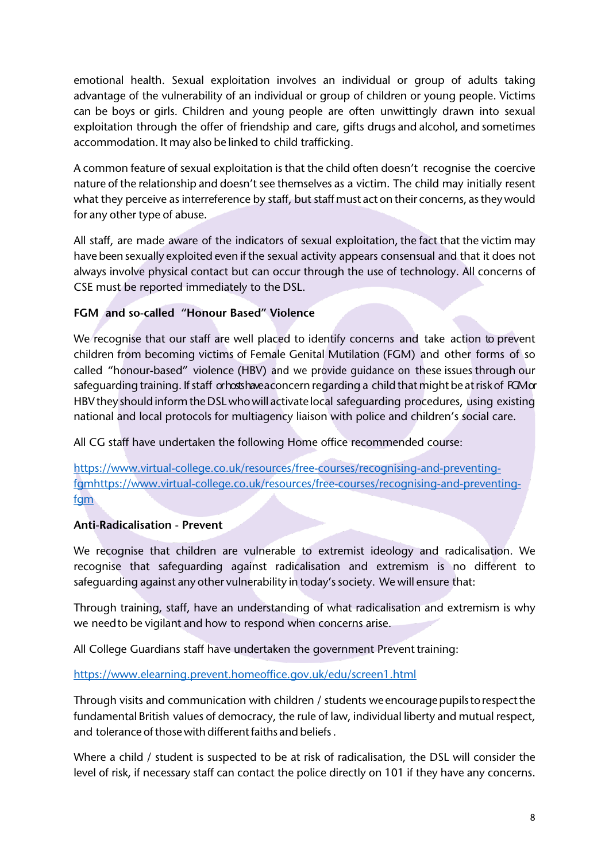emotional health. Sexual exploitation involves an individual or group of adults taking advantage of the vulnerability of an individual or group of children or young people. Victims can be boys or girls. Children and young people are often unwittingly drawn into sexual exploitation through the offer of friendship and care, gifts drugs and alcohol, and sometimes accommodation. It may also be linked to child trafficking.

A common feature of sexual exploitation is that the child often doesn't recognise the coercive nature of the relationship and doesn't see themselves as a victim. The child may initially resent what they perceive as interreference by staff, but staff must act on their concerns, as they would for any other type of abuse.

All staff, are made aware of the indicators of sexual exploitation, the fact that the victim may have been sexually exploited even if the sexual activity appears consensual and that it does not always involve physical contact but can occur through the use of technology. All concerns of CSE must be reported immediately to the DSL.

# **FGM and so-called "Honour Based" Violence**

We recognise that our staff are well placed to identify concerns and take action to prevent children from becoming victims of Female Genital Mutilation (FGM) and other forms of so called "honour-based" violence (HBV) and we provide guidance on these issues through our safeguarding training. If staff or hosts have a concern regarding a child that might be at risk of FGM or HBV they shouldinformtheDSLwhowill activate local safeguarding procedures, using existing national and local protocols for multiagency liaison with police and children's social care.

All CG staff have undertaken the following Home office recommended course:

https://www.virtual-college.co.uk/resources/free-courses/recognising-and-preventingfgmhttps://www.virtual-college.co.uk/resources/free-courses/recognising-and-preventingfam

# **Anti-Radicalisation - Prevent**

We recognise that children are vulnerable to extremist ideology and radicalisation. We recognise that safeguarding against radicalisation and extremism is no different to safeguarding against any other vulnerability in today's society. We will ensure that:

Through training, staff, have an understanding of what radicalisation and extremism is why we needto be vigilant and how to respond when concerns arise.

All College Guardians staff have undertaken the government Prevent training:

https://www.elearning.prevent.homeoffice.gov.uk/edu/screen1.html

Through visits and communication with children / students weencouragepupilstorespectthe fundamental British values of democracy, the rule of law, individual liberty and mutual respect, and tolerance of those with different faiths and beliefs

Where a child / student is suspected to be at risk of radicalisation, the DSL will consider the level of risk, if necessary staff can contact the police directly on 101 if they have any concerns.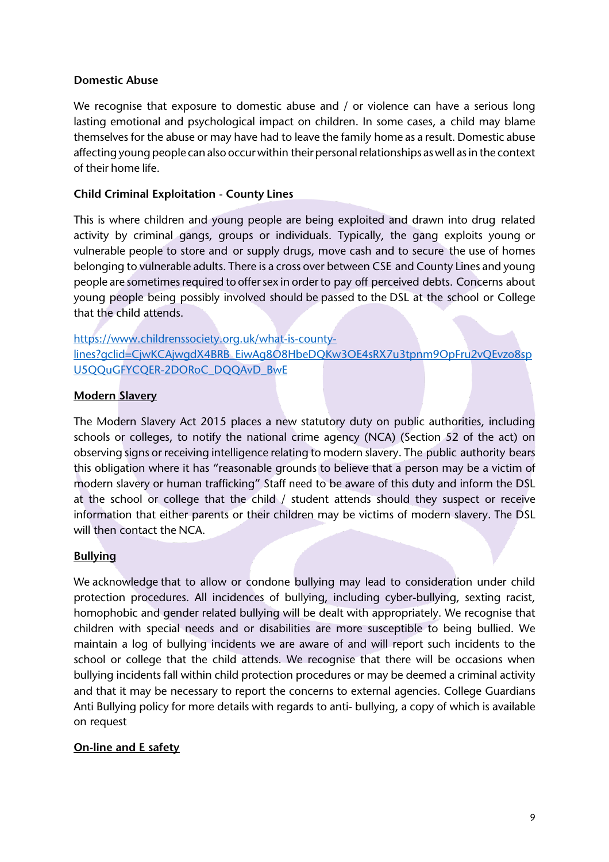#### **Domestic Abuse**

We recognise that exposure to domestic abuse and / or violence can have a serious long lasting emotional and psychological impact on children. In some cases, a child may blame themselves for the abuse or may have had to leave the family home as a result. Domestic abuse affecting young people can also occur within their personal relationships as well as in the context of their home life.

#### **Child Criminal Exploitation - County Lines**

This is where children and young people are being exploited and drawn into drug related activity by criminal gangs, groups or individuals. Typically, the gang exploits young or vulnerable people to store and or supply drugs, move cash and to secure the use of homes belonging to vulnerable adults. There is a cross over between CSE and County Lines and young people are sometimes required to offer sex in order to pay off perceived debts. Concerns about young people being possibly involved should be passed to the DSL at the school or College that the child attends.

# https://www.childrenssociety.org.uk/what-is-countylines?gclid=CjwKCAjwgdX4BRB\_EiwAg8O8HbeDQKw3OE4sRX7u3tpnm9OpFru2vQEvzo8sp U5QQuGFYCQER-2DORoC\_DQQAvD\_BwE

#### **Modern Slavery**

The Modern Slavery Act 2015 places a new statutory duty on public authorities, including schools or colleges, to notify the national crime agency (NCA) (Section 52 of the act) on observing signs or receiving intelligence relating to modern slavery. The public authority bears this obligation where it has "reasonable grounds to believe that a person may be a victim of modern slavery or human trafficking" Staff need to be aware of this duty and inform the DSL at the school or college that the child / student attends should they suspect or receive information that either parents or their children may be victims of modern slavery. The DSL will then contact the NCA.

#### **Bullying**

We acknowledge that to allow or condone bullying may lead to consideration under child protection procedures. All incidences of bullying, including cyber-bullying, sexting racist, homophobic and gender related bullying will be dealt with appropriately. We recognise that children with special needs and or disabilities are more susceptible to being bullied. We maintain a log of bullying incidents we are aware of and will report such incidents to the school or college that the child attends. We recognise that there will be occasions when bullying incidents fall within child protection procedures or may be deemed a criminal activity and that it may be necessary to report the concerns to external agencies. College Guardians Anti Bullying policy for more details with regards to anti- bullying, a copy of which is available on request

## **On-line and E safety**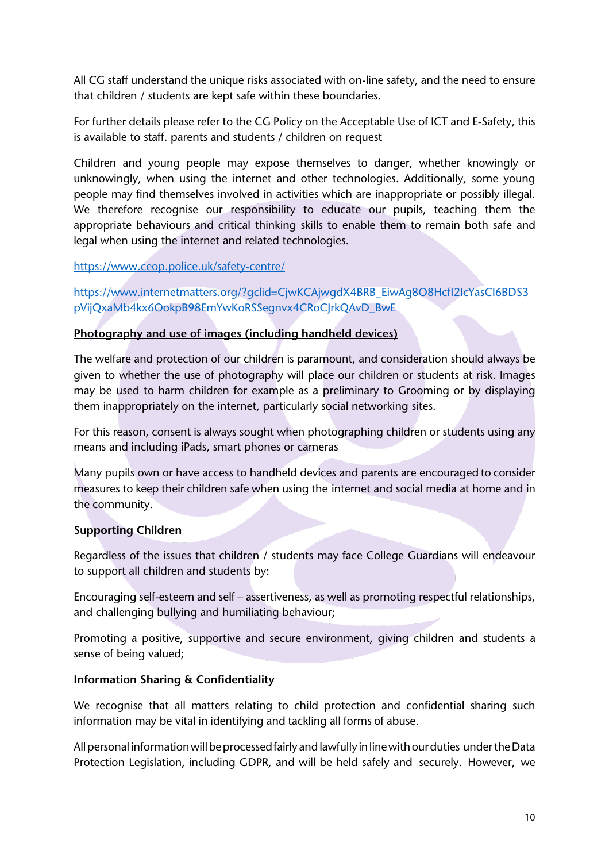All CG staff understand the unique risks associated with on-line safety, and the need to ensure that children / students are kept safe within these boundaries.

For further details please refer to the CG Policy on the Acceptable Use of ICT and E-Safety, this is available to staff. parents and students / children on request

Children and young people may expose themselves to danger, whether knowingly or unknowingly, when using the internet and other technologies. Additionally, some young people may find themselves involved in activities which are inappropriate or possibly illegal. We therefore recognise our responsibility to educate our pupils, teaching them the appropriate behaviours and critical thinking skills to enable them to remain both safe and legal when using the internet and related technologies.

## https://www.ceop.police.uk/safety-centre/

https://www.internetmatters.org/?gclid=CjwKCAjwgdX4BRB\_EiwAg8O8HcfI2IcYasCI6BDS3 pVijQxaMb4kx6OokpB98EmYwKoRSSegnvx4CRoCJrkQAvD\_BwE

# **Photography and use of images (including handheld devices)**

The welfare and protection of our children is paramount, and consideration should always be given to whether the use of photography will place our children or students at risk. Images may be used to harm children for example as a preliminary to Grooming or by displaying them inappropriately on the internet, particularly social networking sites.

For this reason, consent is always sought when photographing children or students using any means and including iPads, smart phones or cameras

Many pupils own or have access to handheld devices and parents are encouraged to consider measures to keep their children safe when using the internet and social media at home and in the community.

## **Supporting Children**

Regardless of the issues that children / students may face College Guardians will endeavour to support all children and students by:

Encouraging self-esteem and self – assertiveness, as well as promoting respectful relationships, and challenging bullying and humiliating behaviour;

Promoting a positive, supportive and secure environment, giving children and students a sense of being valued;

## **Information Sharing & Confidentiality**

We recognise that all matters relating to child protection and confidential sharing such information may be vital in identifying and tackling all forms of abuse.

All personal information will be processed fairly and lawfully in line with our duties under the Data Protection Legislation, including GDPR, and will be held safely and securely. However, we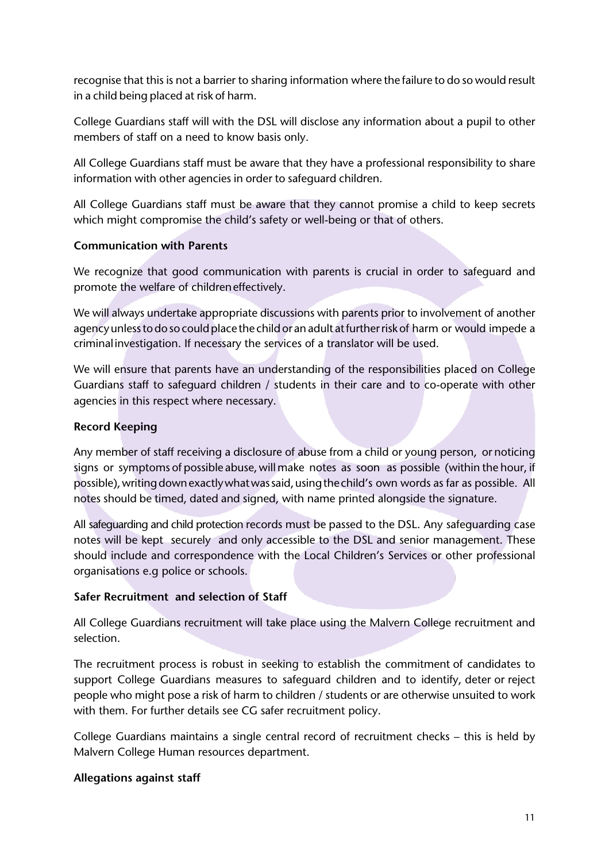recognise that this is not a barrier to sharing information where the failure to do so would result in a child being placed at risk of harm.

College Guardians staff will with the DSL will disclose any information about a pupil to other members of staff on a need to know basis only.

All College Guardians staff must be aware that they have a professional responsibility to share information with other agencies in order to safeguard children.

All College Guardians staff must be aware that they cannot promise a child to keep secrets which might compromise the child's safety or well-being or that of others.

## **Communication with Parents**

We recognize that good communication with parents is crucial in order to safeguard and promote the welfare of childreneffectively.

We will always undertake appropriate discussions with parents prior to involvement of another agency unless to do so could place the child or an adult at further risk of harm or would impede a criminalinvestigation. If necessary the services of a translator will be used.

We will ensure that parents have an understanding of the responsibilities placed on College Guardians staff to safeguard children / students in their care and to co-operate with other agencies in this respect where necessary.

## **Record Keeping**

Any member of staff receiving a disclosure of abuse from a child or young person, or noticing signs or symptoms of possible abuse, will make notes as soon as possible (within the hour, if possible), writing down exactly what was said, using the child's own words as far as possible. All notes should be timed, dated and signed, with name printed alongside the signature.

All safeguarding and child protection records must be passed to the DSL. Any safeguarding case notes will be kept securely and only accessible to the DSL and senior management. These should include and correspondence with the Local Children's Services or other professional organisations e.g police or schools.

## **Safer Recruitment and selection of Staff**

All College Guardians recruitment will take place using the Malvern College recruitment and selection.

The recruitment process is robust in seeking to establish the commitment of candidates to support College Guardians measures to safeguard children and to identify, deter or reject people who might pose a risk of harm to children / students or are otherwise unsuited to work with them. For further details see CG safer recruitment policy.

College Guardians maintains a single central record of recruitment checks – this is held by Malvern College Human resources department.

## **Allegations against staff**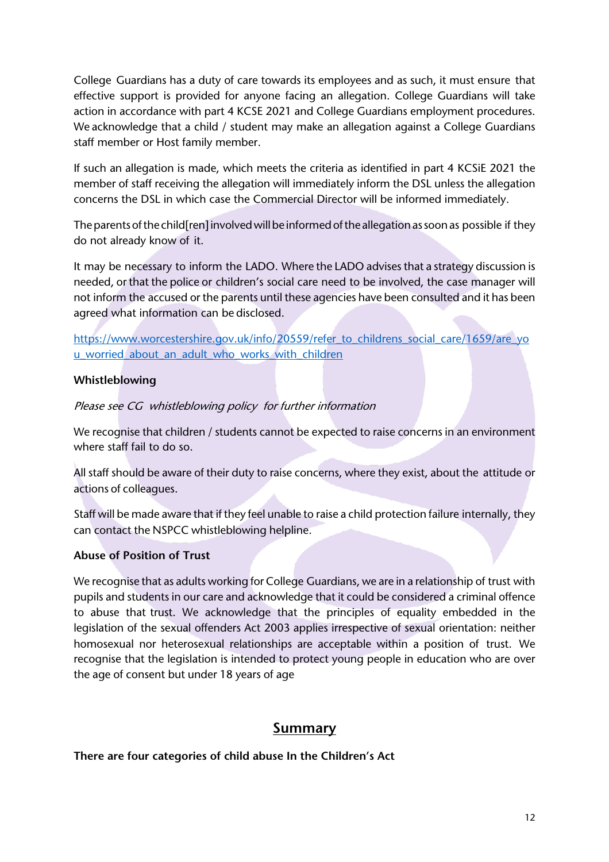College Guardians has a duty of care towards its employees and as such, it must ensure that effective support is provided for anyone facing an allegation. College Guardians will take action in accordance with part 4 KCSE 2021 and College Guardians employment procedures. We acknowledge that a child / student may make an allegation against a College Guardians staff member or Host family member.

If such an allegation is made, which meets the criteria as identified in part 4 KCSiE 2021 the member of staff receiving the allegation will immediately inform the DSL unless the allegation concerns the DSL in which case the Commercial Director will be informed immediately.

The parents of the child[ren] involved will be informed of the allegation as soon as possible if they do not already know of it.

It may be necessary to inform the LADO. Where the LADO advises that a strategy discussion is needed, or that the police or children's social care need to be involved, the case manager will not inform the accused or the parents until these agencies have been consulted and it has been agreed what information can be disclosed.

https://www.worcestershire.gov.uk/info/20559/refer\_to\_childrens\_social\_care/1659/are\_yo u worried about an adult who works with children

# **Whistleblowing**

Please see CG whistleblowing policy for further information

We recognise that children / students cannot be expected to raise concerns in an environment where staff fail to do so.

All staff should be aware of their duty to raise concerns, where they exist, about the attitude or actions of colleagues.

Staff will be made aware that if they feel unable to raise a child protection failure internally, they can contact the NSPCC whistleblowing helpline.

## **Abuse of Position of Trust**

We recognise that as adults working for College Guardians, we are in a relationship of trust with pupils and students in our care and acknowledge that it could be considered a criminal offence to abuse that trust. We acknowledge that the principles of equality embedded in the legislation of the sexual offenders Act 2003 applies irrespective of sexual orientation: neither homosexual nor heterosexual relationships are acceptable within a position of trust. We recognise that the legislation is intended to protect young people in education who are over the age of consent but under 18 years of age

# **Summary**

**There are four categories of child abuse In the Children's Act**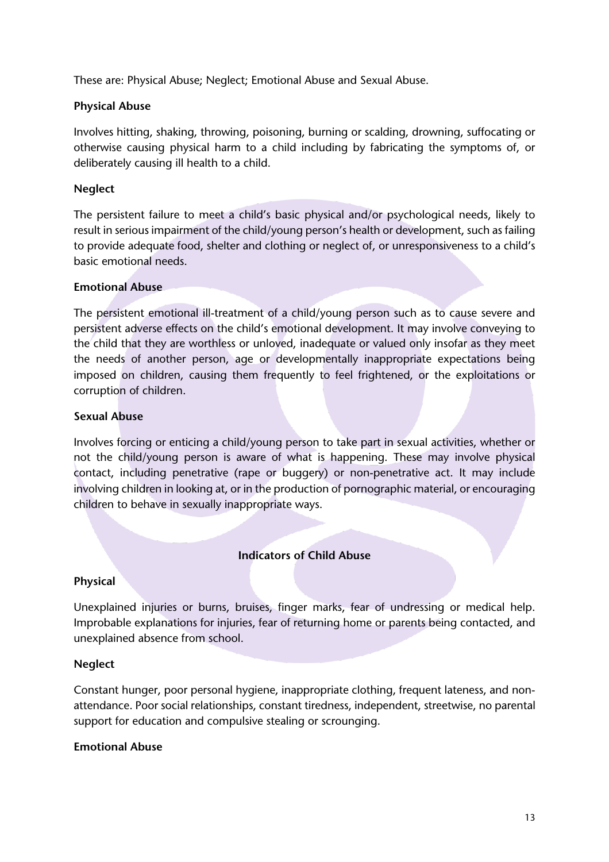These are: Physical Abuse; Neglect; Emotional Abuse and Sexual Abuse.

#### **Physical Abuse**

Involves hitting, shaking, throwing, poisoning, burning or scalding, drowning, suffocating or otherwise causing physical harm to a child including by fabricating the symptoms of, or deliberately causing ill health to a child.

#### **Neglect**

The persistent failure to meet a child's basic physical and/or psychological needs, likely to result in serious impairment of the child/young person's health or development, such as failing to provide adequate food, shelter and clothing or neglect of, or unresponsiveness to a child's basic emotional needs.

#### **Emotional Abuse**

The persistent emotional ill-treatment of a child/young person such as to cause severe and persistent adverse effects on the child's emotional development. It may involve conveying to the child that they are worthless or unloved, inadequate or valued only insofar as they meet the needs of another person, age or developmentally inappropriate expectations being imposed on children, causing them frequently to feel frightened, or the exploitations or corruption of children.

#### **Sexual Abuse**

Involves forcing or enticing a child/young person to take part in sexual activities, whether or not the child/young person is aware of what is happening. These may involve physical contact, including penetrative (rape or buggery) or non-penetrative act. It may include involving children in looking at, or in the production of pornographic material, or encouraging children to behave in sexually inappropriate ways.

## **Indicators of Child Abuse**

#### **Physical**

Unexplained injuries or burns, bruises, finger marks, fear of undressing or medical help. Improbable explanations for injuries, fear of returning home or parents being contacted, and unexplained absence from school.

#### **Neglect**

Constant hunger, poor personal hygiene, inappropriate clothing, frequent lateness, and nonattendance. Poor social relationships, constant tiredness, independent, streetwise, no parental support for education and compulsive stealing or scrounging.

#### **Emotional Abuse**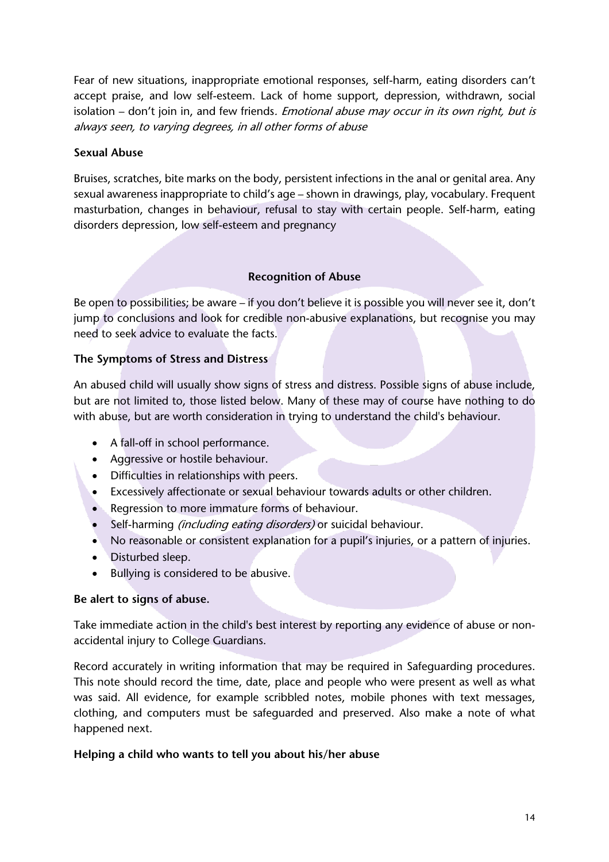Fear of new situations, inappropriate emotional responses, self-harm, eating disorders can't accept praise, and low self-esteem. Lack of home support, depression, withdrawn, social isolation – don't join in, and few friends. Emotional abuse may occur in its own right, but is always seen, to varying degrees, in all other forms of abuse

## **Sexual Abuse**

Bruises, scratches, bite marks on the body, persistent infections in the anal or genital area. Any sexual awareness inappropriate to child's age – shown in drawings, play, vocabulary. Frequent masturbation, changes in behaviour, refusal to stay with certain people. Self-harm, eating disorders depression, low self-esteem and pregnancy

# **Recognition of Abuse**

Be open to possibilities; be aware – if you don't believe it is possible you will never see it, don't jump to conclusions and look for credible non-abusive explanations, but recognise you may need to seek advice to evaluate the facts.

# **The Symptoms of Stress and Distress**

An abused child will usually show signs of stress and distress. Possible signs of abuse include, but are not limited to, those listed below. Many of these may of course have nothing to do with abuse, but are worth consideration in trying to understand the child's behaviour.

- A fall-off in school performance.
- Aggressive or hostile behaviour.
- Difficulties in relationships with peers.
- Excessively affectionate or sexual behaviour towards adults or other children.
- Regression to more immature forms of behaviour.
- Self-harming *(including eating disorders)* or suicidal behaviour.
- No reasonable or consistent explanation for a pupil's injuries, or a pattern of injuries.
- Disturbed sleep.
- Bullying is considered to be abusive.

## **Be alert to signs of abuse.**

Take immediate action in the child's best interest by reporting any evidence of abuse or nonaccidental injury to College Guardians.

Record accurately in writing information that may be required in Safeguarding procedures. This note should record the time, date, place and people who were present as well as what was said. All evidence, for example scribbled notes, mobile phones with text messages, clothing, and computers must be safeguarded and preserved. Also make a note of what happened next.

## **Helping a child who wants to tell you about his/her abuse**